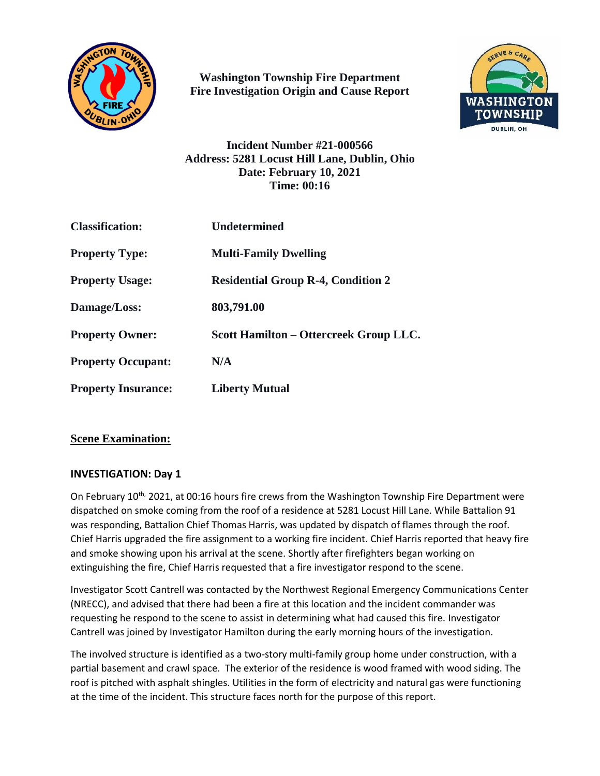

**Washington Township Fire Department Fire Investigation Origin and Cause Report**



**Incident Number #21-000566 Address: 5281 Locust Hill Lane, Dublin, Ohio Date: February 10, 2021 Time: 00:16**

| <b>Classification:</b>     | <b>Undetermined</b>                       |
|----------------------------|-------------------------------------------|
| <b>Property Type:</b>      | <b>Multi-Family Dwelling</b>              |
| <b>Property Usage:</b>     | <b>Residential Group R-4, Condition 2</b> |
| Damage/Loss:               | 803,791.00                                |
| <b>Property Owner:</b>     | Scott Hamilton – Ottercreek Group LLC.    |
| <b>Property Occupant:</b>  | N/A                                       |
| <b>Property Insurance:</b> | <b>Liberty Mutual</b>                     |

# **Scene Examination:**

# **INVESTIGATION: Day 1**

On February 10<sup>th,</sup> 2021, at 00:16 hours fire crews from the Washington Township Fire Department were dispatched on smoke coming from the roof of a residence at 5281 Locust Hill Lane. While Battalion 91 was responding, Battalion Chief Thomas Harris, was updated by dispatch of flames through the roof. Chief Harris upgraded the fire assignment to a working fire incident. Chief Harris reported that heavy fire and smoke showing upon his arrival at the scene. Shortly after firefighters began working on extinguishing the fire, Chief Harris requested that a fire investigator respond to the scene.

Investigator Scott Cantrell was contacted by the Northwest Regional Emergency Communications Center (NRECC), and advised that there had been a fire at this location and the incident commander was requesting he respond to the scene to assist in determining what had caused this fire. Investigator Cantrell was joined by Investigator Hamilton during the early morning hours of the investigation.

The involved structure is identified as a two-story multi-family group home under construction, with a partial basement and crawl space. The exterior of the residence is wood framed with wood siding. The roof is pitched with asphalt shingles. Utilities in the form of electricity and natural gas were functioning at the time of the incident. This structure faces north for the purpose of this report.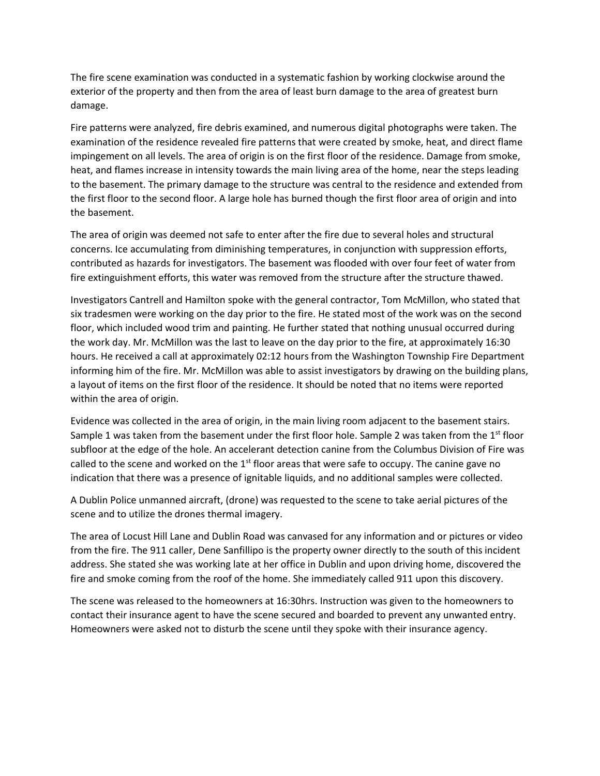The fire scene examination was conducted in a systematic fashion by working clockwise around the exterior of the property and then from the area of least burn damage to the area of greatest burn damage.

Fire patterns were analyzed, fire debris examined, and numerous digital photographs were taken. The examination of the residence revealed fire patterns that were created by smoke, heat, and direct flame impingement on all levels. The area of origin is on the first floor of the residence. Damage from smoke, heat, and flames increase in intensity towards the main living area of the home, near the steps leading to the basement. The primary damage to the structure was central to the residence and extended from the first floor to the second floor. A large hole has burned though the first floor area of origin and into the basement.

The area of origin was deemed not safe to enter after the fire due to several holes and structural concerns. Ice accumulating from diminishing temperatures, in conjunction with suppression efforts, contributed as hazards for investigators. The basement was flooded with over four feet of water from fire extinguishment efforts, this water was removed from the structure after the structure thawed.

Investigators Cantrell and Hamilton spoke with the general contractor, Tom McMillon, who stated that six tradesmen were working on the day prior to the fire. He stated most of the work was on the second floor, which included wood trim and painting. He further stated that nothing unusual occurred during the work day. Mr. McMillon was the last to leave on the day prior to the fire, at approximately 16:30 hours. He received a call at approximately 02:12 hours from the Washington Township Fire Department informing him of the fire. Mr. McMillon was able to assist investigators by drawing on the building plans, a layout of items on the first floor of the residence. It should be noted that no items were reported within the area of origin.

Evidence was collected in the area of origin, in the main living room adjacent to the basement stairs. Sample 1 was taken from the basement under the first floor hole. Sample 2 was taken from the  $1<sup>st</sup>$  floor subfloor at the edge of the hole. An accelerant detection canine from the Columbus Division of Fire was called to the scene and worked on the  $1<sup>st</sup>$  floor areas that were safe to occupy. The canine gave no indication that there was a presence of ignitable liquids, and no additional samples were collected.

A Dublin Police unmanned aircraft, (drone) was requested to the scene to take aerial pictures of the scene and to utilize the drones thermal imagery.

The area of Locust Hill Lane and Dublin Road was canvased for any information and or pictures or video from the fire. The 911 caller, Dene Sanfillipo is the property owner directly to the south of this incident address. She stated she was working late at her office in Dublin and upon driving home, discovered the fire and smoke coming from the roof of the home. She immediately called 911 upon this discovery.

The scene was released to the homeowners at 16:30hrs. Instruction was given to the homeowners to contact their insurance agent to have the scene secured and boarded to prevent any unwanted entry. Homeowners were asked not to disturb the scene until they spoke with their insurance agency.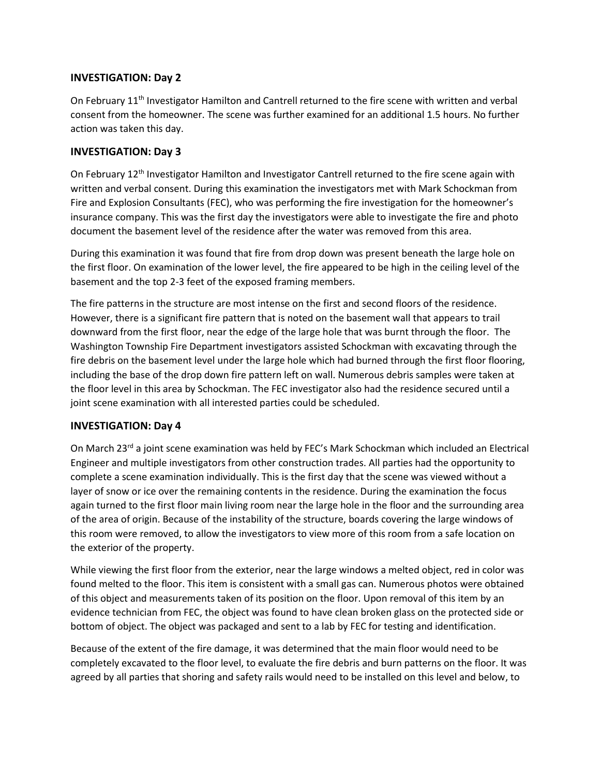### **INVESTIGATION: Day 2**

On February 11<sup>th</sup> Investigator Hamilton and Cantrell returned to the fire scene with written and verbal consent from the homeowner. The scene was further examined for an additional 1.5 hours. No further action was taken this day.

#### **INVESTIGATION: Day 3**

On February 12<sup>th</sup> Investigator Hamilton and Investigator Cantrell returned to the fire scene again with written and verbal consent. During this examination the investigators met with Mark Schockman from Fire and Explosion Consultants (FEC), who was performing the fire investigation for the homeowner's insurance company. This was the first day the investigators were able to investigate the fire and photo document the basement level of the residence after the water was removed from this area.

During this examination it was found that fire from drop down was present beneath the large hole on the first floor. On examination of the lower level, the fire appeared to be high in the ceiling level of the basement and the top 2-3 feet of the exposed framing members.

The fire patterns in the structure are most intense on the first and second floors of the residence. However, there is a significant fire pattern that is noted on the basement wall that appears to trail downward from the first floor, near the edge of the large hole that was burnt through the floor. The Washington Township Fire Department investigators assisted Schockman with excavating through the fire debris on the basement level under the large hole which had burned through the first floor flooring, including the base of the drop down fire pattern left on wall. Numerous debris samples were taken at the floor level in this area by Schockman. The FEC investigator also had the residence secured until a joint scene examination with all interested parties could be scheduled.

# **INVESTIGATION: Day 4**

On March 23<sup>rd</sup> a joint scene examination was held by FEC's Mark Schockman which included an Electrical Engineer and multiple investigators from other construction trades. All parties had the opportunity to complete a scene examination individually. This is the first day that the scene was viewed without a layer of snow or ice over the remaining contents in the residence. During the examination the focus again turned to the first floor main living room near the large hole in the floor and the surrounding area of the area of origin. Because of the instability of the structure, boards covering the large windows of this room were removed, to allow the investigators to view more of this room from a safe location on the exterior of the property.

While viewing the first floor from the exterior, near the large windows a melted object, red in color was found melted to the floor. This item is consistent with a small gas can. Numerous photos were obtained of this object and measurements taken of its position on the floor. Upon removal of this item by an evidence technician from FEC, the object was found to have clean broken glass on the protected side or bottom of object. The object was packaged and sent to a lab by FEC for testing and identification.

Because of the extent of the fire damage, it was determined that the main floor would need to be completely excavated to the floor level, to evaluate the fire debris and burn patterns on the floor. It was agreed by all parties that shoring and safety rails would need to be installed on this level and below, to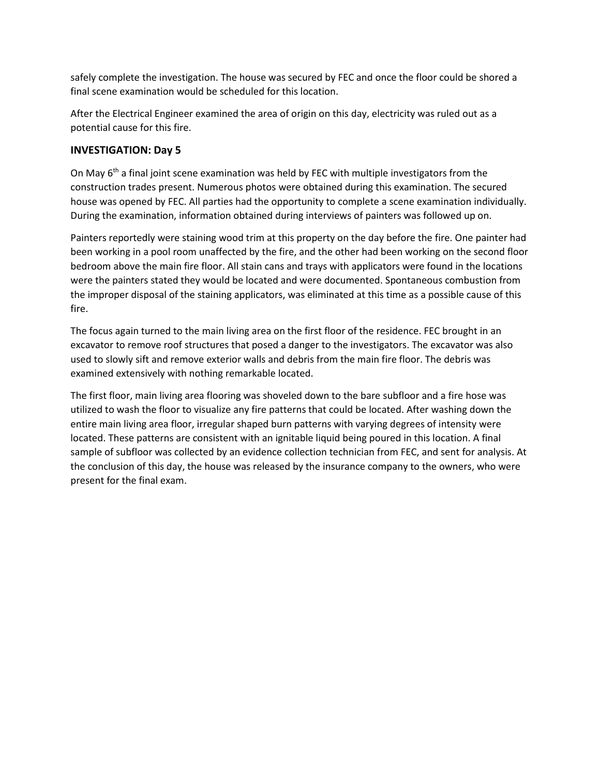safely complete the investigation. The house was secured by FEC and once the floor could be shored a final scene examination would be scheduled for this location.

After the Electrical Engineer examined the area of origin on this day, electricity was ruled out as a potential cause for this fire.

# **INVESTIGATION: Day 5**

On May  $6<sup>th</sup>$  a final joint scene examination was held by FEC with multiple investigators from the construction trades present. Numerous photos were obtained during this examination. The secured house was opened by FEC. All parties had the opportunity to complete a scene examination individually. During the examination, information obtained during interviews of painters was followed up on.

Painters reportedly were staining wood trim at this property on the day before the fire. One painter had been working in a pool room unaffected by the fire, and the other had been working on the second floor bedroom above the main fire floor. All stain cans and trays with applicators were found in the locations were the painters stated they would be located and were documented. Spontaneous combustion from the improper disposal of the staining applicators, was eliminated at this time as a possible cause of this fire.

The focus again turned to the main living area on the first floor of the residence. FEC brought in an excavator to remove roof structures that posed a danger to the investigators. The excavator was also used to slowly sift and remove exterior walls and debris from the main fire floor. The debris was examined extensively with nothing remarkable located.

The first floor, main living area flooring was shoveled down to the bare subfloor and a fire hose was utilized to wash the floor to visualize any fire patterns that could be located. After washing down the entire main living area floor, irregular shaped burn patterns with varying degrees of intensity were located. These patterns are consistent with an ignitable liquid being poured in this location. A final sample of subfloor was collected by an evidence collection technician from FEC, and sent for analysis. At the conclusion of this day, the house was released by the insurance company to the owners, who were present for the final exam.